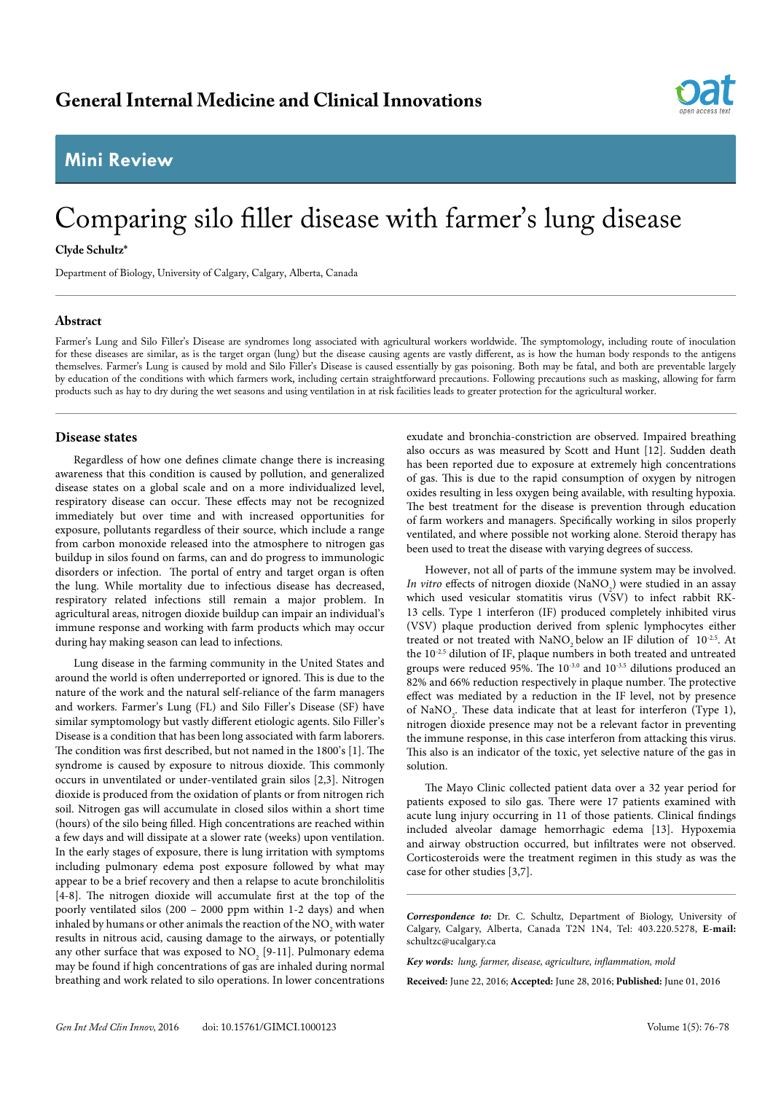## **Mini Review**



# Comparing silo filler disease with farmer's lung disease

#### **Clyde Schultz\***

Department of Biology, University of Calgary, Calgary, Alberta, Canada

#### **Abstract**

Farmer's Lung and Silo Filler's Disease are syndromes long associated with agricultural workers worldwide. The symptomology, including route of inoculation for these diseases are similar, as is the target organ (lung) but the disease causing agents are vastly different, as is how the human body responds to the antigens themselves. Farmer's Lung is caused by mold and Silo Filler's Disease is caused essentially by gas poisoning. Both may be fatal, and both are preventable largely by education of the conditions with which farmers work, including certain straightforward precautions. Following precautions such as masking, allowing for farm products such as hay to dry during the wet seasons and using ventilation in at risk facilities leads to greater protection for the agricultural worker.

### **Disease states**

Regardless of how one defines climate change there is increasing awareness that this condition is caused by pollution, and generalized disease states on a global scale and on a more individualized level, respiratory disease can occur. These effects may not be recognized immediately but over time and with increased opportunities for exposure, pollutants regardless of their source, which include a range from carbon monoxide released into the atmosphere to nitrogen gas buildup in silos found on farms, can and do progress to immunologic disorders or infection. The portal of entry and target organ is often the lung. While mortality due to infectious disease has decreased, respiratory related infections still remain a major problem. In agricultural areas, nitrogen dioxide buildup can impair an individual's immune response and working with farm products which may occur during hay making season can lead to infections.

Lung disease in the farming community in the United States and around the world is often underreported or ignored. This is due to the nature of the work and the natural self-reliance of the farm managers and workers. Farmer's Lung (FL) and Silo Filler's Disease (SF) have similar symptomology but vastly different etiologic agents. Silo Filler's Disease is a condition that has been long associated with farm laborers. The condition was first described, but not named in the 1800's [1]. The syndrome is caused by exposure to nitrous dioxide. This commonly occurs in unventilated or under-ventilated grain silos [2,3]. Nitrogen dioxide is produced from the oxidation of plants or from nitrogen rich soil. Nitrogen gas will accumulate in closed silos within a short time (hours) of the silo being filled. High concentrations are reached within a few days and will dissipate at a slower rate (weeks) upon ventilation. In the early stages of exposure, there is lung irritation with symptoms including pulmonary edema post exposure followed by what may appear to be a brief recovery and then a relapse to acute bronchilolitis [4-8]. The nitrogen dioxide will accumulate first at the top of the poorly ventilated silos (200 – 2000 ppm within 1-2 days) and when inhaled by humans or other animals the reaction of the  $\mathrm{NO}_\mathrm{2}$  with water results in nitrous acid, causing damage to the airways, or potentially any other surface that was exposed to  $\mathrm{NO}_2$  [9-11]. Pulmonary edema may be found if high concentrations of gas are inhaled during normal breathing and work related to silo operations. In lower concentrations

exudate and bronchia-constriction are observed. Impaired breathing also occurs as was measured by Scott and Hunt [12]. Sudden death has been reported due to exposure at extremely high concentrations of gas. This is due to the rapid consumption of oxygen by nitrogen oxides resulting in less oxygen being available, with resulting hypoxia. The best treatment for the disease is prevention through education of farm workers and managers. Specifically working in silos properly ventilated, and where possible not working alone. Steroid therapy has been used to treat the disease with varying degrees of success.

However, not all of parts of the immune system may be involved. *In vitro* effects of nitrogen dioxide (NaNO<sub>2</sub>) were studied in an assay which used vesicular stomatitis virus (VSV) to infect rabbit RK-13 cells. Type 1 interferon (IF) produced completely inhibited virus (VSV) plaque production derived from splenic lymphocytes either treated or not treated with NaNO<sub>2</sub> below an IF dilution of  $10^{-2.5}$ . At the 10-2.5 dilution of IF, plaque numbers in both treated and untreated groups were reduced 95%. The  $10^{-3.0}$  and  $10^{-3.5}$  dilutions produced an 82% and 66% reduction respectively in plaque number. The protective effect was mediated by a reduction in the IF level, not by presence of  $\text{NaNO}_2$ . These data indicate that at least for interferon (Type 1), nitrogen dioxide presence may not be a relevant factor in preventing the immune response, in this case interferon from attacking this virus. This also is an indicator of the toxic, yet selective nature of the gas in solution.

The Mayo Clinic collected patient data over a 32 year period for patients exposed to silo gas. There were 17 patients examined with acute lung injury occurring in 11 of those patients. Clinical findings included alveolar damage hemorrhagic edema [13]. Hypoxemia and airway obstruction occurred, but infiltrates were not observed. Corticosteroids were the treatment regimen in this study as was the case for other studies [3,7].

*Correspondence to:* Dr. C. Schultz, Department of Biology, University of Calgary, Calgary, Alberta, Canada T2N 1N4, Tel: 403.220.5278, **E-mail:**  schultzc@ucalgary.ca

*Key words: lung, farmer, disease, agriculture, inflammation, mold*

**Received:** June 22, 2016; **Accepted:** June 28, 2016; **Published:** June 01, 2016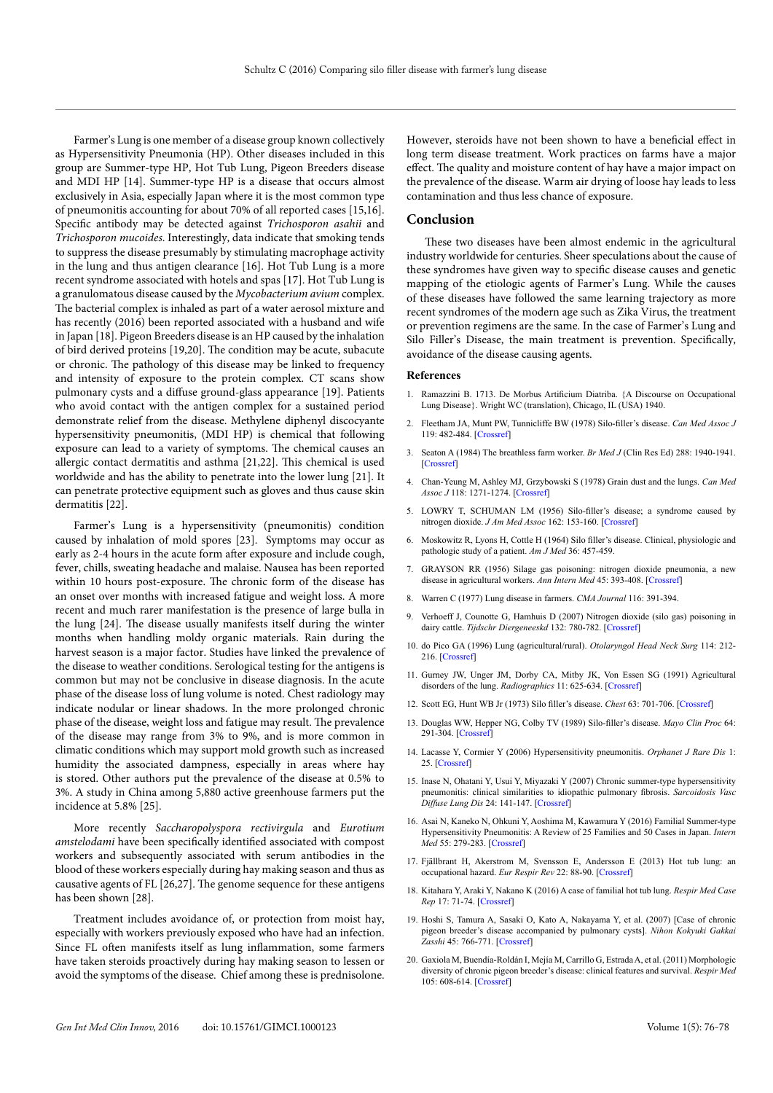Farmer's Lung is one member of a disease group known collectively as Hypersensitivity Pneumonia (HP). Other diseases included in this group are Summer-type HP, Hot Tub Lung, Pigeon Breeders disease and MDI HP [14]. Summer-type HP is a disease that occurs almost exclusively in Asia, especially Japan where it is the most common type of pneumonitis accounting for about 70% of all reported cases [15,16]. Specific antibody may be detected against *Trichosporon asahii* and *Trichosporon mucoides*. Interestingly, data indicate that smoking tends to suppress the disease presumably by stimulating macrophage activity in the lung and thus antigen clearance [16]. Hot Tub Lung is a more recent syndrome associated with hotels and spas [17]. Hot Tub Lung is a granulomatous disease caused by the *Mycobacterium avium* complex. The bacterial complex is inhaled as part of a water aerosol mixture and has recently (2016) been reported associated with a husband and wife in Japan [18]. Pigeon Breeders disease is an HP caused by the inhalation of bird derived proteins [19,20]. The condition may be acute, subacute or chronic. The pathology of this disease may be linked to frequency and intensity of exposure to the protein complex. CT scans show pulmonary cysts and a diffuse ground-glass appearance [19]. Patients who avoid contact with the antigen complex for a sustained period demonstrate relief from the disease. Methylene diphenyl discocyante hypersensitivity pneumonitis, (MDI HP) is chemical that following exposure can lead to a variety of symptoms. The chemical causes an allergic contact dermatitis and asthma [21,22]. This chemical is used worldwide and has the ability to penetrate into the lower lung [21]. It can penetrate protective equipment such as gloves and thus cause skin dermatitis [22].

Farmer's Lung is a hypersensitivity (pneumonitis) condition caused by inhalation of mold spores [23]. Symptoms may occur as early as 2-4 hours in the acute form after exposure and include cough, fever, chills, sweating headache and malaise. Nausea has been reported within 10 hours post-exposure. The chronic form of the disease has an onset over months with increased fatigue and weight loss. A more recent and much rarer manifestation is the presence of large bulla in the lung [24]. The disease usually manifests itself during the winter months when handling moldy organic materials. Rain during the harvest season is a major factor. Studies have linked the prevalence of the disease to weather conditions. Serological testing for the antigens is common but may not be conclusive in disease diagnosis. In the acute phase of the disease loss of lung volume is noted. Chest radiology may indicate nodular or linear shadows. In the more prolonged chronic phase of the disease, weight loss and fatigue may result. The prevalence of the disease may range from 3% to 9%, and is more common in climatic conditions which may support mold growth such as increased humidity the associated dampness, especially in areas where hay is stored. Other authors put the prevalence of the disease at 0.5% to 3%. A study in China among 5,880 active greenhouse farmers put the incidence at 5.8% [25].

More recently *Saccharopolyspora rectivirgula* and *Eurotium amstelodami* have been specifically identified associated with compost workers and subsequently associated with serum antibodies in the blood of these workers especially during hay making season and thus as causative agents of FL [26,27]. The genome sequence for these antigens has been shown [28].

Treatment includes avoidance of, or protection from moist hay, especially with workers previously exposed who have had an infection. Since FL often manifests itself as lung inflammation, some farmers have taken steroids proactively during hay making season to lessen or avoid the symptoms of the disease. Chief among these is prednisolone. However, steroids have not been shown to have a beneficial effect in long term disease treatment. Work practices on farms have a major effect. The quality and moisture content of hay have a major impact on the prevalence of the disease. Warm air drying of loose hay leads to less contamination and thus less chance of exposure.

#### **Conclusion**

These two diseases have been almost endemic in the agricultural industry worldwide for centuries. Sheer speculations about the cause of these syndromes have given way to specific disease causes and genetic mapping of the etiologic agents of Farmer's Lung. While the causes of these diseases have followed the same learning trajectory as more recent syndromes of the modern age such as Zika Virus, the treatment or prevention regimens are the same. In the case of Farmer's Lung and Silo Filler's Disease, the main treatment is prevention. Specifically, avoidance of the disease causing agents.

#### **References**

- 1. Ramazzini B. 1713. De Morbus Artificium Diatriba. {A Discourse on Occupational Lung Disease}. Wright WC (translation), Chicago, IL (USA) 1940.
- 2. Fleetham JA, Munt PW, Tunnicliffe BW (1978) Silo-filler's disease. *Can Med Assoc J* 119: 482-484. [[Crossref](http://www.ncbi.nlm.nih.gov/pubmed/688149)]
- 3. Seaton A (1984) The breathless farm worker. *Br Med J* (Clin Res Ed) 288: 1940-1941. [[Crossref](http://www.ncbi.nlm.nih.gov/pubmed/6428613)]
- 4. Chan-Yeung M, Ashley MJ, Grzybowski S (1978) Grain dust and the lungs. *Can Med Assoc J* 118: 1271-1274. [[Crossref](http://www.ncbi.nlm.nih.gov/pubmed/348288)]
- 5. LOWRY T, SCHUMAN LM (1956) Silo-filler's disease; a syndrome caused by nitrogen dioxide. *J Am Med Assoc* 162: 153-160. [\[Crossref](http://www.ncbi.nlm.nih.gov/pubmed/13357306)]
- 6. Moskowitz R, Lyons H, Cottle H (1964) Silo filler's disease. Clinical, physiologic and pathologic study of a patient. *Am J Med* 36: 457-459.
- 7. GRAYSON RR (1956) Silage gas poisoning: nitrogen dioxide pneumonia, a new disease in agricultural workers. *Ann Intern Med* 45: 393-408. [[Crossref](http://www.ncbi.nlm.nih.gov/pubmed/13363168)]
- 8. Warren C (1977) Lung disease in farmers. *CMA Journal* 116: 391-394.
- 9. Verhoeff J, Counotte G, Hamhuis D (2007) Nitrogen dioxide (silo gas) poisoning in dairy cattle. Tijdschr Diergeneeskd 132: 780-782. [\[Crossref](http://www.ncbi.nlm.nih.gov/pubmed/17990632)]
- 10. do Pico GA (1996) Lung (agricultural/rural). *Otolaryngol Head Neck Surg* 114: 212- 216. [[Crossref](http://www.ncbi.nlm.nih.gov/pubmed/8637735)]
- 11. Gurney JW, Unger JM, Dorby CA, Mitby JK, Von Essen SG (1991) Agricultural disorders of the lung. *Radiographics* 11: 625-634. [\[Crossref](http://www.ncbi.nlm.nih.gov/pubmed/1887117)]
- 12. Scott EG, Hunt WB Jr (1973) Silo filler's disease. *Chest* 63: 701-706. [[Crossref](http://www.ncbi.nlm.nih.gov/pubmed/4703623)]
- 13. Douglas WW, Hepper NG, Colby TV (1989) Silo-filler's disease. *Mayo Clin Proc* 64: 291-304. [[Crossref](http://www.ncbi.nlm.nih.gov/pubmed/2704252)]
- 14. Lacasse Y, Cormier Y (2006) Hypersensitivity pneumonitis. *Orphanet J Rare Dis* 1: 25. [\[Crossref](http://www.ncbi.nlm.nih.gov/pubmed/16817954)]
- 15. Inase N, Ohatani Y, Usui Y, Miyazaki Y (2007) Chronic summer-type hypersensitivity pneumonitis: clinical similarities to idiopathic pulmonary fibrosis. *Sarcoidosis Vasc Diffuse Lung Dis* 24: 141-147. [\[Crossref](http://www.ncbi.nlm.nih.gov/pubmed/18496985)]
- 16. Asai N, Kaneko N, Ohkuni Y, Aoshima M, Kawamura Y (2016) Familial Summer-type Hypersensitivity Pneumonitis: A Review of 25 Families and 50 Cases in Japan. *Intern Med* 55: 279-283. [[Crossref](http://www.ncbi.nlm.nih.gov/pubmed/26831024)]
- 17. Fjällbrant H, Akerstrom M, Svensson E, Andersson E (2013) Hot tub lung: an occupational hazard. *Eur Respir Rev* 22: 88-90. [[Crossref](http://www.ncbi.nlm.nih.gov/pubmed/23457170)]
- 18. Kitahara Y, Araki Y, Nakano K (2016) A case of familial hot tub lung. *Respir Med Case Rep* 17: 71-74. [\[Crossref](http://www.ncbi.nlm.nih.gov/pubmed/27222790)]
- 19. Hoshi S, Tamura A, Sasaki O, Kato A, Nakayama Y, et al. (2007) [Case of chronic pigeon breeder's disease accompanied by pulmonary cysts]. *Nihon Kokyuki Gakkai Zasshi* 45: 766-771. [\[Crossref](http://www.ncbi.nlm.nih.gov/pubmed/18018624)]
- 20. Gaxiola M, Buendía-Roldán I, Mejía M, Carrillo G, Estrada A, et al. (2011) Morphologic diversity of chronic pigeon breeder's disease: clinical features and survival. *Respir Med* 105: 608-614. [[Crossref](http://www.ncbi.nlm.nih.gov/pubmed/21167698)]